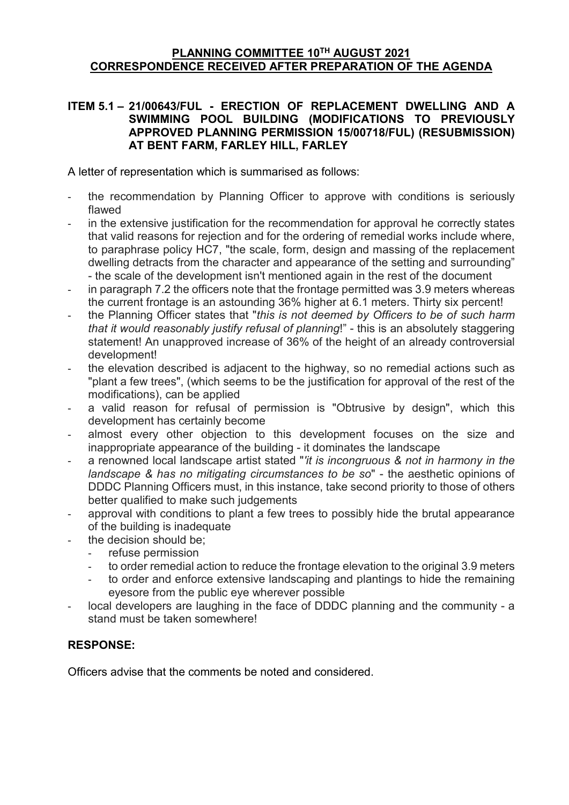## **PLANNING COMMITTEE 10TH AUGUST 2021 CORRESPONDENCE RECEIVED AFTER PREPARATION OF THE AGENDA**

### **ITEM 5.1 – 21/00643/FUL - ERECTION OF REPLACEMENT DWELLING AND A SWIMMING POOL BUILDING (MODIFICATIONS TO PREVIOUSLY APPROVED PLANNING PERMISSION 15/00718/FUL) (RESUBMISSION) AT BENT FARM, FARLEY HILL, FARLEY**

A letter of representation which is summarised as follows:

- the recommendation by Planning Officer to approve with conditions is seriously flawed
- in the extensive justification for the recommendation for approval he correctly states that valid reasons for rejection and for the ordering of remedial works include where, to paraphrase policy HC7, "the scale, form, design and massing of the replacement dwelling detracts from the character and appearance of the setting and surrounding" - the scale of the development isn't mentioned again in the rest of the document
- in paragraph 7.2 the officers note that the frontage permitted was 3.9 meters whereas the current frontage is an astounding 36% higher at 6.1 meters. Thirty six percent!
- the Planning Officer states that "*this is not deemed by Officers to be of such harm that it would reasonably justify refusal of planning*!" - this is an absolutely staggering statement! An unapproved increase of 36% of the height of an already controversial development!
- the elevation described is adjacent to the highway, so no remedial actions such as "plant a few trees", (which seems to be the justification for approval of the rest of the modifications), can be applied
- a valid reason for refusal of permission is "Obtrusive by design", which this development has certainly become
- almost every other objection to this development focuses on the size and inappropriate appearance of the building - it dominates the landscape
- a renowned local landscape artist stated "*'it is incongruous & not in harmony in the landscape & has no mitigating circumstances to be so*" - the aesthetic opinions of DDDC Planning Officers must, in this instance, take second priority to those of others better qualified to make such judgements
- approval with conditions to plant a few trees to possibly hide the brutal appearance of the building is inadequate
- the decision should be;
	- refuse permission
	- to order remedial action to reduce the frontage elevation to the original 3.9 meters
	- to order and enforce extensive landscaping and plantings to hide the remaining eyesore from the public eye wherever possible
- local developers are laughing in the face of DDDC planning and the community a stand must be taken somewhere!

# **RESPONSE:**

Officers advise that the comments be noted and considered.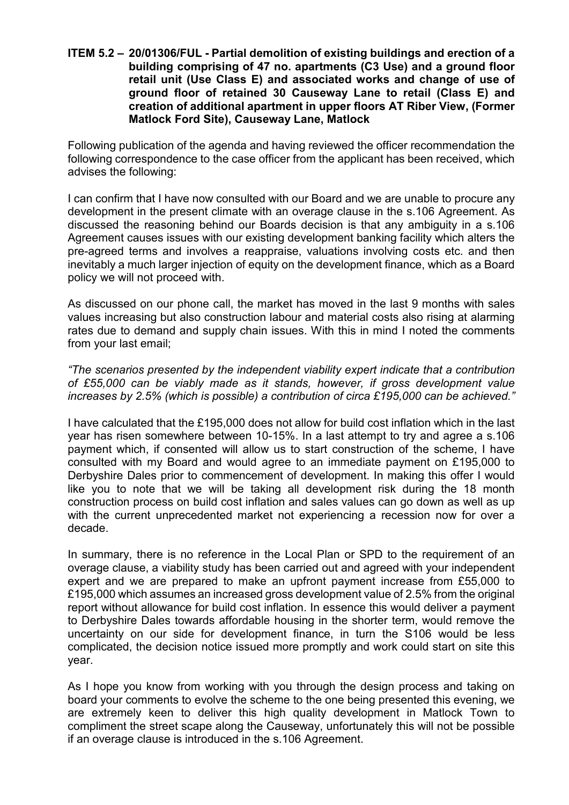**ITEM 5.2 – 20/01306/FUL - Partial demolition of existing buildings and erection of a building comprising of 47 no. apartments (C3 Use) and a ground floor retail unit (Use Class E) and associated works and change of use of ground floor of retained 30 Causeway Lane to retail (Class E) and creation of additional apartment in upper floors AT Riber View, (Former Matlock Ford Site), Causeway Lane, Matlock**

Following publication of the agenda and having reviewed the officer recommendation the following correspondence to the case officer from the applicant has been received, which advises the following:

I can confirm that I have now consulted with our Board and we are unable to procure any development in the present climate with an overage clause in the s.106 Agreement. As discussed the reasoning behind our Boards decision is that any ambiguity in a s.106 Agreement causes issues with our existing development banking facility which alters the pre-agreed terms and involves a reappraise, valuations involving costs etc. and then inevitably a much larger injection of equity on the development finance, which as a Board policy we will not proceed with.

As discussed on our phone call, the market has moved in the last 9 months with sales values increasing but also construction labour and material costs also rising at alarming rates due to demand and supply chain issues. With this in mind I noted the comments from your last email;

*"The scenarios presented by the independent viability expert indicate that a contribution of £55,000 can be viably made as it stands, however, if gross development value increases by 2.5% (which is possible) a contribution of circa £195,000 can be achieved."*

I have calculated that the £195,000 does not allow for build cost inflation which in the last year has risen somewhere between 10-15%. In a last attempt to try and agree a s.106 payment which, if consented will allow us to start construction of the scheme, I have consulted with my Board and would agree to an immediate payment on £195,000 to Derbyshire Dales prior to commencement of development. In making this offer I would like you to note that we will be taking all development risk during the 18 month construction process on build cost inflation and sales values can go down as well as up with the current unprecedented market not experiencing a recession now for over a decade.

In summary, there is no reference in the Local Plan or SPD to the requirement of an overage clause, a viability study has been carried out and agreed with your independent expert and we are prepared to make an upfront payment increase from £55,000 to £195,000 which assumes an increased gross development value of 2.5% from the original report without allowance for build cost inflation. In essence this would deliver a payment to Derbyshire Dales towards affordable housing in the shorter term, would remove the uncertainty on our side for development finance, in turn the S106 would be less complicated, the decision notice issued more promptly and work could start on site this year.

As I hope you know from working with you through the design process and taking on board your comments to evolve the scheme to the one being presented this evening, we are extremely keen to deliver this high quality development in Matlock Town to compliment the street scape along the Causeway, unfortunately this will not be possible if an overage clause is introduced in the s.106 Agreement.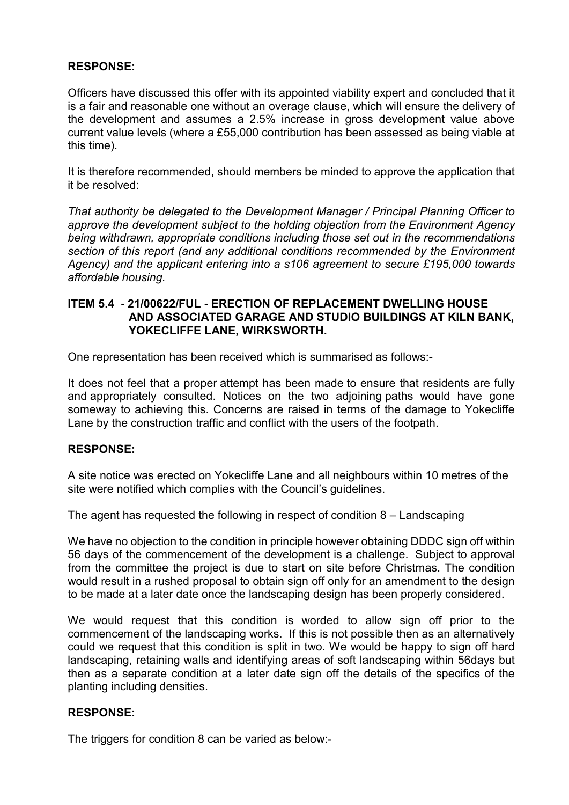## **RESPONSE:**

Officers have discussed this offer with its appointed viability expert and concluded that it is a fair and reasonable one without an overage clause, which will ensure the delivery of the development and assumes a 2.5% increase in gross development value above current value levels (where a £55,000 contribution has been assessed as being viable at this time).

It is therefore recommended, should members be minded to approve the application that it be resolved:

*That authority be delegated to the Development Manager / Principal Planning Officer to approve the development subject to the holding objection from the Environment Agency being withdrawn, appropriate conditions including those set out in the recommendations section of this report (and any additional conditions recommended by the Environment Agency) and the applicant entering into a s106 agreement to secure £195,000 towards affordable housing.*

### **ITEM 5.4 - 21/00622/FUL - ERECTION OF REPLACEMENT DWELLING HOUSE AND ASSOCIATED GARAGE AND STUDIO BUILDINGS AT KILN BANK, YOKECLIFFE LANE, WIRKSWORTH.**

One representation has been received which is summarised as follows:-

It does not feel that a proper attempt has been made to ensure that residents are fully and appropriately consulted. Notices on the two adjoining paths would have gone someway to achieving this. Concerns are raised in terms of the damage to Yokecliffe Lane by the construction traffic and conflict with the users of the footpath.

# **RESPONSE:**

A site notice was erected on Yokecliffe Lane and all neighbours within 10 metres of the site were notified which complies with the Council's guidelines.

#### The agent has requested the following in respect of condition 8 – Landscaping

We have no objection to the condition in principle however obtaining DDDC sign off within 56 days of the commencement of the development is a challenge. Subject to approval from the committee the project is due to start on site before Christmas. The condition would result in a rushed proposal to obtain sign off only for an amendment to the design to be made at a later date once the landscaping design has been properly considered.

We would request that this condition is worded to allow sign off prior to the commencement of the landscaping works. If this is not possible then as an alternatively could we request that this condition is split in two. We would be happy to sign off hard landscaping, retaining walls and identifying areas of soft landscaping within 56days but then as a separate condition at a later date sign off the details of the specifics of the planting including densities.

### **RESPONSE:**

The triggers for condition 8 can be varied as below:-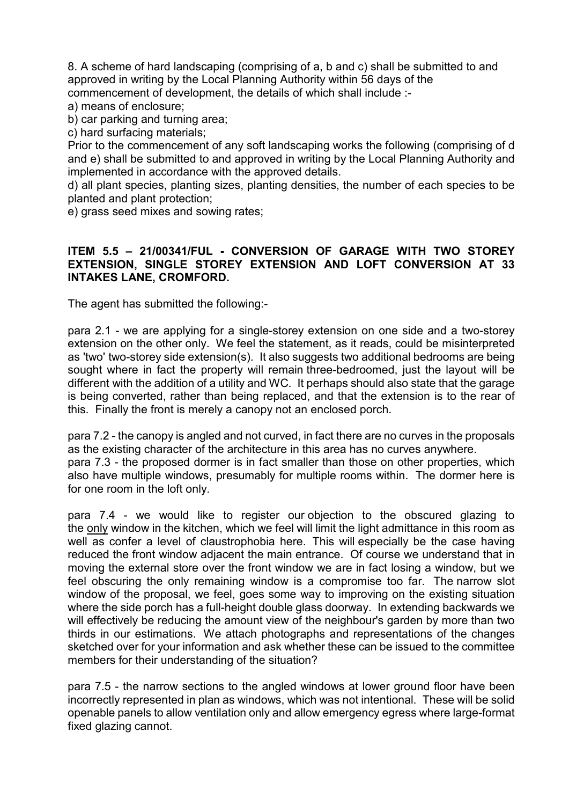8. A scheme of hard landscaping (comprising of a, b and c) shall be submitted to and approved in writing by the Local Planning Authority within 56 days of the commencement of development, the details of which shall include :-

a) means of enclosure;

b) car parking and turning area;

c) hard surfacing materials;

Prior to the commencement of any soft landscaping works the following (comprising of d and e) shall be submitted to and approved in writing by the Local Planning Authority and implemented in accordance with the approved details.

d) all plant species, planting sizes, planting densities, the number of each species to be planted and plant protection;

e) grass seed mixes and sowing rates;

# **ITEM 5.5 – 21/00341/FUL - CONVERSION OF GARAGE WITH TWO STOREY EXTENSION, SINGLE STOREY EXTENSION AND LOFT CONVERSION AT 33 INTAKES LANE, CROMFORD.**

The agent has submitted the following:-

para 2.1 - we are applying for a single-storey extension on one side and a two-storey extension on the other only. We feel the statement, as it reads, could be misinterpreted as 'two' two-storey side extension(s). It also suggests two additional bedrooms are being sought where in fact the property will remain three-bedroomed, just the layout will be different with the addition of a utility and WC. It perhaps should also state that the garage is being converted, rather than being replaced, and that the extension is to the rear of this. Finally the front is merely a canopy not an enclosed porch.

para 7.2 - the canopy is angled and not curved, in fact there are no curves in the proposals as the existing character of the architecture in this area has no curves anywhere. para 7.3 - the proposed dormer is in fact smaller than those on other properties, which also have multiple windows, presumably for multiple rooms within. The dormer here is for one room in the loft only.

para 7.4 - we would like to register our objection to the obscured glazing to the only window in the kitchen, which we feel will limit the light admittance in this room as well as confer a level of claustrophobia here. This will especially be the case having reduced the front window adjacent the main entrance. Of course we understand that in moving the external store over the front window we are in fact losing a window, but we feel obscuring the only remaining window is a compromise too far. The narrow slot window of the proposal, we feel, goes some way to improving on the existing situation where the side porch has a full-height double glass doorway. In extending backwards we will effectively be reducing the amount view of the neighbour's garden by more than two thirds in our estimations. We attach photographs and representations of the changes sketched over for your information and ask whether these can be issued to the committee members for their understanding of the situation?

para 7.5 - the narrow sections to the angled windows at lower ground floor have been incorrectly represented in plan as windows, which was not intentional. These will be solid openable panels to allow ventilation only and allow emergency egress where large-format fixed glazing cannot.